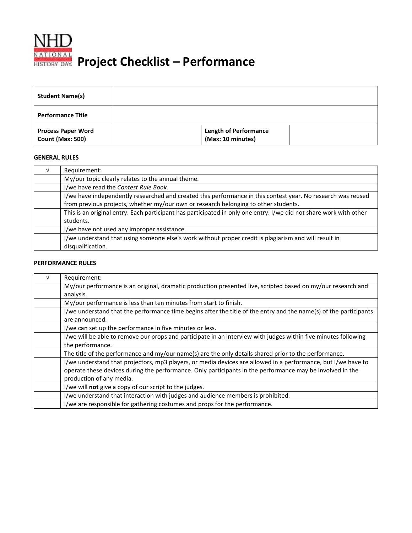

## **Project Checklist – Performance**

| <b>Student Name(s)</b>                               |                                                   |  |
|------------------------------------------------------|---------------------------------------------------|--|
| <b>Performance Title</b>                             |                                                   |  |
| <b>Process Paper Word</b><br><b>Count (Max: 500)</b> | <b>Length of Performance</b><br>(Max: 10 minutes) |  |

## **GENERAL RULES**

| Requirement:                                                                                                       |
|--------------------------------------------------------------------------------------------------------------------|
| My/our topic clearly relates to the annual theme.                                                                  |
| I/we have read the Contest Rule Book.                                                                              |
| I/we have independently researched and created this performance in this contest year. No research was reused       |
| from previous projects, whether my/our own or research belonging to other students.                                |
| This is an original entry. Each participant has participated in only one entry. I/we did not share work with other |
| students.                                                                                                          |
| I/we have not used any improper assistance.                                                                        |
| I/we understand that using someone else's work without proper credit is plagiarism and will result in              |
| disqualification.                                                                                                  |

## **PERFORMANCE RULES**

| Requirement:                                                                                                      |
|-------------------------------------------------------------------------------------------------------------------|
| My/our performance is an original, dramatic production presented live, scripted based on my/our research and      |
| analysis.                                                                                                         |
| My/our performance is less than ten minutes from start to finish.                                                 |
| I/we understand that the performance time begins after the title of the entry and the name(s) of the participants |
| are announced.                                                                                                    |
| I/we can set up the performance in five minutes or less.                                                          |
| I/we will be able to remove our props and participate in an interview with judges within five minutes following   |
| the performance.                                                                                                  |
| The title of the performance and my/our name(s) are the only details shared prior to the performance.             |
| I/we understand that projectors, mp3 players, or media devices are allowed in a performance, but I/we have to     |
| operate these devices during the performance. Only participants in the performance may be involved in the         |
| production of any media.                                                                                          |
| I/we will not give a copy of our script to the judges.                                                            |
| I/we understand that interaction with judges and audience members is prohibited.                                  |
| I/we are responsible for gathering costumes and props for the performance.                                        |